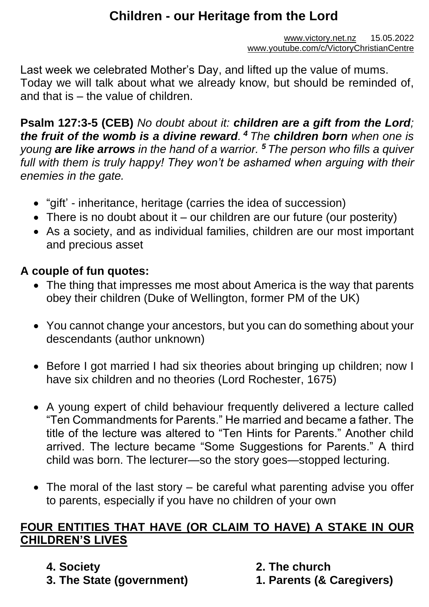# **Children - our Heritage from the Lord**

[www.victory.net.nz](http://www.victory.net.nz/) 15.05.2022 [www.youtube.com/c/VictoryChristianCentre](http://www.youtube.com/c/VictoryChristianCentre)

Last week we celebrated Mother's Day, and lifted up the value of mums. Today we will talk about what we already know, but should be reminded of, and that is – the value of children.

**Psalm 127:3-5 (CEB)** *No doubt about it: children are a gift from the Lord; the fruit of the womb is a divine reward. <sup>4</sup>The children born when one is young are like arrows in the hand of a warrior. <sup>5</sup>The person who fills a quiver*  full with them is truly happy! They won't be ashamed when arguing with their *enemies in the gate.*

- "gift' inheritance, heritage (carries the idea of succession)
- There is no doubt about it our children are our future (our posterity)
- As a society, and as individual families, children are our most important and precious asset

#### **A couple of fun quotes:**

- The thing that impresses me most about America is the way that parents obey their children (Duke of Wellington, former PM of the UK)
- You cannot change your ancestors, but you can do something about your descendants (author unknown)
- Before I got married I had six theories about bringing up children; now I have six children and no theories (Lord Rochester, 1675)
- A young expert of child behaviour frequently delivered a lecture called "Ten Commandments for Parents." He married and became a father. The title of the lecture was altered to "Ten Hints for Parents." Another child arrived. The lecture became "Some Suggestions for Parents." A third child was born. The lecturer—so the story goes—stopped lecturing.
- The moral of the last story be careful what parenting advise you offer to parents, especially if you have no children of your own

#### **FOUR ENTITIES THAT HAVE (OR CLAIM TO HAVE) A STAKE IN OUR CHILDREN'S LIVES**

- **4. Society**
- **3. The State (government)**
- **2. The church**
- **1. Parents (& Caregivers)**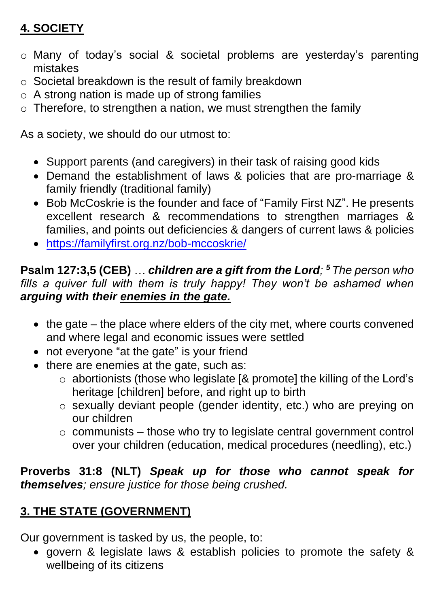# **4. SOCIETY**

- o Many of today's social & societal problems are yesterday's parenting mistakes
- o Societal breakdown is the result of family breakdown
- $\circ$  A strong nation is made up of strong families
- $\circ$  Therefore, to strengthen a nation, we must strengthen the family

As a society, we should do our utmost to:

- Support parents (and caregivers) in their task of raising good kids
- Demand the establishment of laws & policies that are pro-marriage & family friendly (traditional family)
- Bob McCoskrie is the founder and face of "Family First NZ". He presents excellent research & recommendations to strengthen marriages & families, and points out deficiencies & dangers of current laws & policies
- <https://familyfirst.org.nz/bob-mccoskrie/>

### **Psalm 127:3,5 (CEB)** *… children are a gift from the Lord; <sup>5</sup>The person who*  fills a quiver full with them is truly happy! They won't be ashamed when *arguing with their enemies in the gate.*

- the gate the place where elders of the city met, where courts convened and where legal and economic issues were settled
- not everyone "at the gate" is your friend
- there are enemies at the gate, such as:
	- o abortionists (those who legislate [& promote] the killing of the Lord's heritage [children] before, and right up to birth
	- o sexually deviant people (gender identity, etc.) who are preying on our children
	- $\circ$  communists those who try to legislate central government control over your children (education, medical procedures (needling), etc.)

### **Proverbs 31:8 (NLT)** *Speak up for those who cannot speak for themselves; ensure justice for those being crushed.*

# **3. THE STATE (GOVERNMENT)**

Our government is tasked by us, the people, to:

• govern & legislate laws & establish policies to promote the safety & wellbeing of its citizens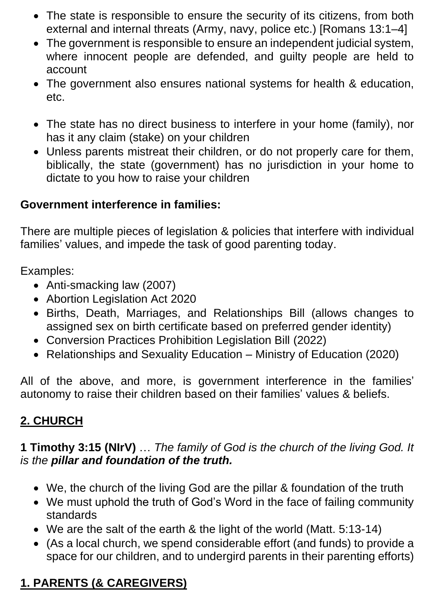- The state is responsible to ensure the security of its citizens, from both external and internal threats (Army, navy, police etc.) [Romans 13:1–4]
- The government is responsible to ensure an independent judicial system, where innocent people are defended, and guilty people are held to account
- The government also ensures national systems for health & education, etc.
- The state has no direct business to interfere in your home (family), nor has it any claim (stake) on your children
- Unless parents mistreat their children, or do not properly care for them, biblically, the state (government) has no jurisdiction in your home to dictate to you how to raise your children

#### **Government interference in families:**

There are multiple pieces of legislation & policies that interfere with individual families' values, and impede the task of good parenting today.

Examples:

- Anti-smacking law (2007)
- Abortion Legislation Act 2020
- Births, Death, Marriages, and Relationships Bill (allows changes to assigned sex on birth certificate based on preferred gender identity)
- Conversion Practices Prohibition Legislation Bill (2022)
- Relationships and Sexuality Education Ministry of Education (2020)

All of the above, and more, is government interference in the families' autonomy to raise their children based on their families' values & beliefs.

## **2. CHURCH**

#### **1 Timothy 3:15 (NIrV)** … *The family of God is the church of the living God. It is the pillar and foundation of the truth.*

- We, the church of the living God are the pillar & foundation of the truth
- We must uphold the truth of God's Word in the face of failing community standards
- We are the salt of the earth & the light of the world (Matt. 5:13-14)
- (As a local church, we spend considerable effort (and funds) to provide a space for our children, and to undergird parents in their parenting efforts)

## **1. PARENTS (& CAREGIVERS)**